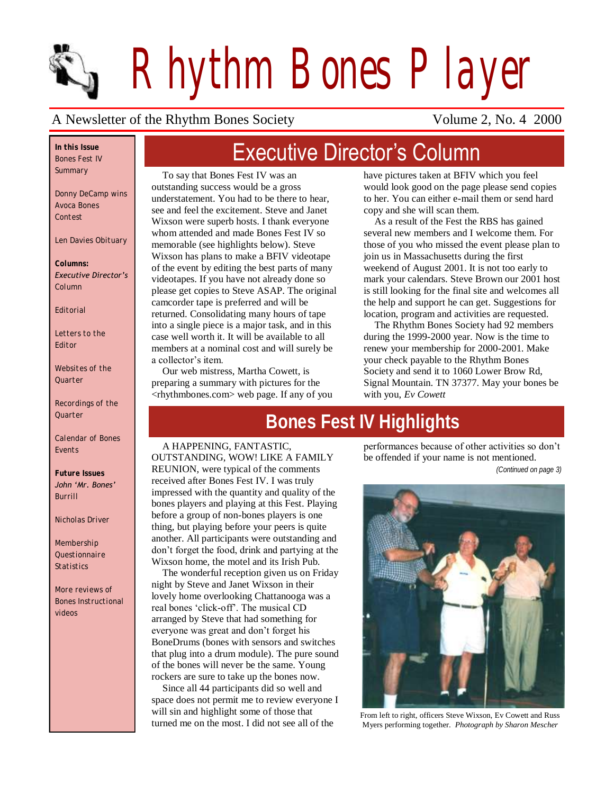

*Rhythm Bones Player*

#### A Newsletter of the Rhythm Bones Society Volume 2, No. 4 2000

*In this Issue Bones Fest IV Summary*

*Donny DeCamp wins Avoca Bones Contest*

*Len Davies Obituary* 

*Columns: Executive Director's Column*

*Editorial*

*Letters to the Editor*

*Websites of the Quarter*

*Recordings of the Quarter*

*Calendar of Bones Events*

*Future Issues John 'Mr. Bones' Burrill*

*Nicholas Driver*

*Membership Questionnaire Statistics*

*More reviews of Bones Instructional videos*

## Executive Director's Column

To say that Bones Fest IV was an outstanding success would be a gross understatement. You had to be there to hear, see and feel the excitement. Steve and Janet Wixson were superb hosts. I thank everyone whom attended and made Bones Fest IV so memorable (see highlights below). Steve Wixson has plans to make a BFIV videotape of the event by editing the best parts of many videotapes. If you have not already done so please get copies to Steve ASAP. The original camcorder tape is preferred and will be returned. Consolidating many hours of tape into a single piece is a major task, and in this case well worth it. It will be available to all members at a nominal cost and will surely be a collector's item.

Our web mistress, Martha Cowett, is preparing a summary with pictures for the <rhythmbones.com> web page. If any of you have pictures taken at BFIV which you feel would look good on the page please send copies to her. You can either e-mail them or send hard copy and she will scan them.

As a result of the Fest the RBS has gained several new members and I welcome them. For those of you who missed the event please plan to join us in Massachusetts during the first weekend of August 2001. It is not too early to mark your calendars. Steve Brown our 2001 host is still looking for the final site and welcomes all the help and support he can get. Suggestions for location, program and activities are requested.

The Rhythm Bones Society had 92 members during the 1999-2000 year. Now is the time to renew your membership for 2000-2001. Make your check payable to the Rhythm Bones Society and send it to 1060 Lower Brow Rd, Signal Mountain. TN 37377. May your bones be with you, *Ev Cowett* 

## **Bones Fest IV Highlights**

#### A HAPPENING, FANTASTIC,

OUTSTANDING, WOW! LIKE A FAMILY REUNION, were typical of the comments received after Bones Fest IV. I was truly impressed with the quantity and quality of the bones players and playing at this Fest. Playing before a group of non-bones players is one thing, but playing before your peers is quite another. All participants were outstanding and don't forget the food, drink and partying at the Wixson home, the motel and its Irish Pub.

The wonderful reception given us on Friday night by Steve and Janet Wixson in their lovely home overlooking Chattanooga was a real bones 'click-off'. The musical CD arranged by Steve that had something for everyone was great and don't forget his BoneDrums (bones with sensors and switches that plug into a drum module). The pure sound of the bones will never be the same. Young rockers are sure to take up the bones now.

Since all 44 participants did so well and space does not permit me to review everyone I will sin and highlight some of those that turned me on the most. I did not see all of the

performances because of other activities so don't be offended if your name is not mentioned. *(Continued on page 3)*

From left to right, officers Steve Wixson, Ev Cowett and Russ Myers performing together. *Photograph by Sharon Mescher*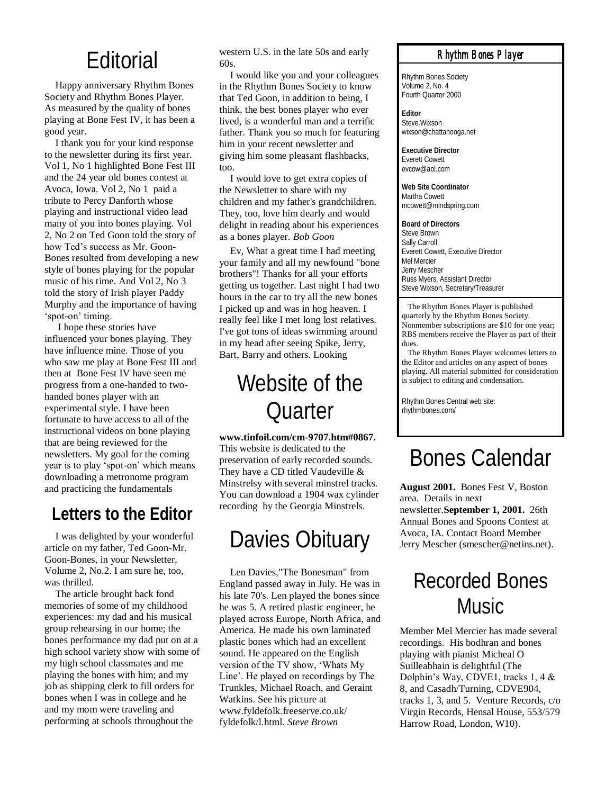## Editorial

Happy anniversary Rhythm Bones Society and Rhythm Bones Player. As measured by the quality of bones playing at Bone Fest IV, it has been a good year.

I thank you for your kind response to the newsletter during its first year. Vol 1, No 1 highlighted Bone Fest III and the 24 year old bones contest at Avoca, Iowa. Vol 2, No 1 paid a tribute to Percy Danforth whose playing and instructional video lead many of you into bones playing. Vol 2, No 2 on Ted Goon told the story of how Ted's success as Mr. Goon-Bones resulted from developing a new style of bones playing for the popular music of his time. And Vol 2, No 3 told the story of Irish player Paddy Murphy and the importance of having 'spot-on' timing.

I hope these stories have influenced your bones playing. They have influence mine. Those of you who saw me play at Bone Fest III and then at Bone Fest IV have seen me progress from a one-handed to twohanded bones player with an experimental style. I have been fortunate to have access to all of the instructional videos on bone playing that are being reviewed for the newsletters. My goal for the coming year is to play 'spot-on' which means downloading a metronome program and practicing the fundamentals

## **Letters to the Editor**

I was delighted by your wonderful article on my father, Ted Goon-Mr. Goon-Bones, in your Newsletter, Volume 2, No.2. I am sure he, too, was thrilled.

The article brought back fond memories of some of my childhood experiences: my dad and his musical group rehearsing in our home; the bones performance my dad put on at a high school variety show with some of my high school classmates and me playing the bones with him; and my job as shipping clerk to fill orders for bones when I was in college and he and my mom were traveling and performing at schools throughout the

western U.S. in the late 50s and early  $60s$ 

I would like you and your colleagues in the Rhythm Bones Society to know that Ted Goon, in addition to being, I think, the best bones player who ever lived, is a wonderful man and a terrific father. Thank you so much for featuring him in your recent newsletter and giving him some pleasant flashbacks, too.

I would love to get extra copies of the Newsletter to share with my children and my father's grandchildren. They, too, love him dearly and would delight in reading about his experiences as a bones player. *Bob Goon*

Ev, What a great time I had meeting your family and all my newfound "bone brothers"! Thanks for all your efforts getting us together. Last night I had two hours in the car to try all the new bones I picked up and was in hog heaven. I really feel like I met long lost relatives. I've got tons of ideas swimming around in my head after seeing Spike, Jerry, Bart, Barry and others. Looking

## Website of the Quarter

**www.tinfoil.com/cm-9707.htm#0867.**  This website is dedicated to the preservation of early recorded sounds. They have a CD titled Vaudeville & Minstrelsy with several minstrel tracks. You can download a 1904 wax cylinder recording by the Georgia Minstrels.

## Davies Obituary

Len Davies,"The Bonesman" from England passed away in July. He was in his late 70's. Len played the bones since he was 5. A retired plastic engineer, he played across Europe, North Africa, and America. He made his own laminated plastic bones which had an excellent sound. He appeared on the English version of the TV show, 'Whats My Line'. He played on recordings by The Trunkles, Michael Roach, and Geraint Watkins. See his picture at www.fyldefolk.freeserve.co.uk/ fyldefolk/l.html. *Steve Brown*

#### *Rhythm Bones Player*

Rhythm Bones Society Volume 2, No. 4 Fourth Quarter 2000

**Editor** Steve Wixson wixson@chattanooga.net

**Executive Director** Everett Cowett evcow@aol.com

**Web Site Coordinator** Martha Cowett mcowett@mindspring.com

**Board of Directors** Steve Brown Sally Carroll Everett Cowett, Executive Director Mel Mercier Jerry Mescher Russ Myers, Assistant Director Steve Wixson, Secretary/Treasurer

 The Rhythm Bones Player is published quarterly by the Rhythm Bones Society. Nonmember subscriptions are \$10 for one year; RBS members receive the Player as part of their dues.

 The Rhythm Bones Player welcomes letters to the Editor and articles on any aspect of bones playing. All material submitted for consideration is subject to editing and condensation.

Rhythm Bones Central web site: rhythmbones.com/

## Bones Calendar

**August 2001.** Bones Fest V, Boston area. Details in next newsletter.**September 1, 2001.** 26th Annual Bones and Spoons Contest at Avoca, IA. Contact Board Member Jerry Mescher (smescher@netins.net).

## Recorded Bones Music

Member Mel Mercier has made several recordings. His bodhran and bones playing with pianist Micheal O Suilleabhain is delightful (The Dolphin's Way, CDVE1, tracks 1, 4 & 8, and Casadh/Turning, CDVE904, tracks 1, 3, and 5. Venture Records, c/o Virgin Records, Hensal House, 553/579 Harrow Road, London, W10).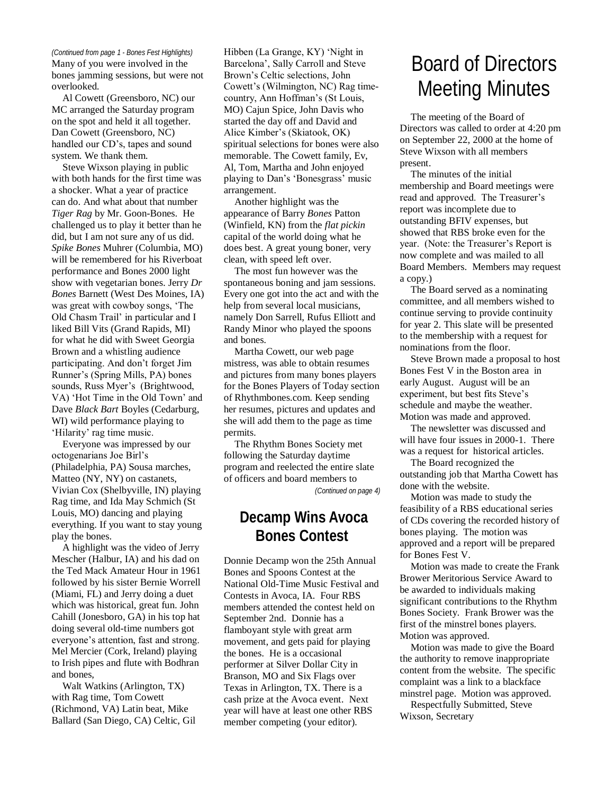Many of you were involved in the bones jamming sessions, but were not overlooked.

Al Cowett (Greensboro, NC) our MC arranged the Saturday program on the spot and held it all together. Dan Cowett (Greensboro, NC) handled our CD's, tapes and sound system. We thank them.

Steve Wixson playing in public with both hands for the first time was a shocker. What a year of practice can do. And what about that number *Tiger Rag* by Mr. Goon-Bones. He challenged us to play it better than he did, but I am not sure any of us did. *Spike Bones* Muhrer (Columbia, MO) will be remembered for his Riverboat performance and Bones 2000 light show with vegetarian bones. Jerry *Dr Bones* Barnett (West Des Moines, IA) was great with cowboy songs, 'The Old Chasm Trail' in particular and I liked Bill Vits (Grand Rapids, MI) for what he did with Sweet Georgia Brown and a whistling audience participating. And don't forget Jim Runner's (Spring Mills, PA) bones sounds, Russ Myer's (Brightwood, VA) 'Hot Time in the Old Town' and Dave *Black Bart* Boyles (Cedarburg, WI) wild performance playing to 'Hilarity' rag time music.

Everyone was impressed by our octogenarians Joe Birl's (Philadelphia, PA) Sousa marches, Matteo (NY, NY) on castanets, Vivian Cox (Shelbyville, IN) playing Rag time, and Ida May Schmich (St Louis, MO) dancing and playing everything. If you want to stay young play the bones.

A highlight was the video of Jerry Mescher (Halbur, IA) and his dad on the Ted Mack Amateur Hour in 1961 followed by his sister Bernie Worrell (Miami, FL) and Jerry doing a duet which was historical, great fun. John Cahill (Jonesboro, GA) in his top hat doing several old-time numbers got everyone's attention, fast and strong. Mel Mercier (Cork, Ireland) playing to Irish pipes and flute with Bodhran and bones,

Walt Watkins (Arlington, TX) with Rag time, Tom Cowett (Richmond, VA) Latin beat, Mike Ballard (San Diego, CA) Celtic, Gil

Hibben (La Grange, KY) 'Night in Barcelona', Sally Carroll and Steve Brown's Celtic selections, John Cowett's (Wilmington, NC) Rag timecountry, Ann Hoffman's (St Louis, MO) Cajun Spice, John Davis who started the day off and David and Alice Kimber's (Skiatook, OK) spiritual selections for bones were also memorable. The Cowett family, Ev, Al, Tom, Martha and John enjoyed playing to Dan's 'Bonesgrass' music arrangement. *(Continued from page 1 - Bones Fest Highlights)* Hibben (La Grange, KY) 'Night in<br>Many of you were involved in the Barcelona', Sally Carroll and Steve BOAI'd Of DILECTOLS

> Another highlight was the appearance of Barry *Bones* Patton (Winfield, KN) from the *flat pickin* capital of the world doing what he does best. A great young boner, very clean, with speed left over.

The most fun however was the spontaneous boning and jam sessions. Every one got into the act and with the help from several local musicians, namely Don Sarrell, Rufus Elliott and Randy Minor who played the spoons and bones.

Martha Cowett, our web page mistress, was able to obtain resumes and pictures from many bones players for the Bones Players of Today section of Rhythmbones.com. Keep sending her resumes, pictures and updates and she will add them to the page as time permits.

The Rhythm Bones Society met following the Saturday daytime program and reelected the entire slate of officers and board members to

*(Continued on page 4)*

### **Decamp Wins Avoca Bones Contest**

Donnie Decamp won the 25th Annual Bones and Spoons Contest at the National Old-Time Music Festival and Contests in Avoca, IA. Four RBS members attended the contest held on September 2nd. Donnie has a flamboyant style with great arm movement, and gets paid for playing the bones. He is a occasional performer at Silver Dollar City in Branson, MO and Six Flags over Texas in Arlington, TX. There is a cash prize at the Avoca event. Next year will have at least one other RBS member competing (your editor).

# Meeting Minutes

The meeting of the Board of Directors was called to order at 4:20 pm on September 22, 2000 at the home of Steve Wixson with all members present.

The minutes of the initial membership and Board meetings were read and approved. The Treasurer's report was incomplete due to outstanding BFIV expenses, but showed that RBS broke even for the year. (Note: the Treasurer's Report is now complete and was mailed to all Board Members. Members may request a copy.)

The Board served as a nominating committee, and all members wished to continue serving to provide continuity for year 2. This slate will be presented to the membership with a request for nominations from the floor.

Steve Brown made a proposal to host Bones Fest V in the Boston area in early August. August will be an experiment, but best fits Steve's schedule and maybe the weather. Motion was made and approved.

The newsletter was discussed and will have four issues in 2000-1. There was a request for historical articles.

The Board recognized the outstanding job that Martha Cowett has done with the website.

Motion was made to study the feasibility of a RBS educational series of CDs covering the recorded history of bones playing. The motion was approved and a report will be prepared for Bones Fest V.

Motion was made to create the Frank Brower Meritorious Service Award to be awarded to individuals making significant contributions to the Rhythm Bones Society. Frank Brower was the first of the minstrel bones players. Motion was approved.

Motion was made to give the Board the authority to remove inappropriate content from the website. The specific complaint was a link to a blackface minstrel page. Motion was approved.

Respectfully Submitted, Steve Wixson, Secretary